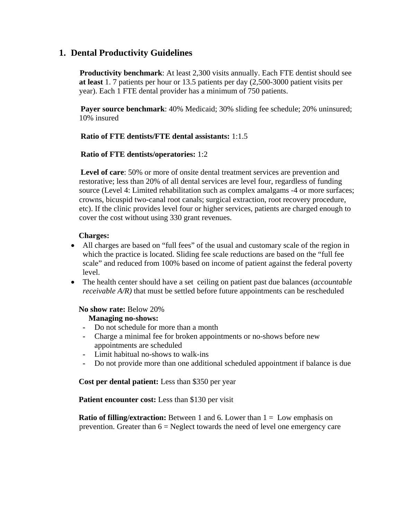# **1. Dental Productivity Guidelines**

 **Productivity benchmark**: At least 2,300 visits annually. Each FTE dentist should see **at least** 1. 7 patients per hour or 13.5 patients per day (2,500-3000 patient visits per year). Each 1 FTE dental provider has a minimum of 750 patients.

 **Payer source benchmark**: 40% Medicaid; 30% sliding fee schedule; 20% uninsured; 10% insured

### **Ratio of FTE dentists/FTE dental assistants:** 1:1.5

### **Ratio of FTE dentists/operatories:** 1:2

 **Level of care**: 50% or more of onsite dental treatment services are prevention and restorative; less than 20% of all dental services are level four, regardless of funding source (Level 4: Limited rehabilitation such as complex amalgams -4 or more surfaces; crowns, bicuspid two-canal root canals; surgical extraction, root recovery procedure, etc). If the clinic provides level four or higher services, patients are charged enough to cover the cost without using 330 grant revenues.

### **Charges:**

- All charges are based on "full fees" of the usual and customary scale of the region in which the practice is located. Sliding fee scale reductions are based on the "full fee scale" and reduced from 100% based on income of patient against the federal poverty level.
- The health center should have a set ceiling on patient past due balances (*accountable receivable A/R)* that must be settled before future appointments can be rescheduled

# **No show rate:** Below 20%

# **Managing no-shows:**

- **-** Do not schedule for more than a month
- **-** Charge a minimal fee for broken appointments or no-shows before new appointments are scheduled
- **-** Limit habitual no-shows to walk-ins
- **-** Do not provide more than one additional scheduled appointment if balance is due

# **Cost per dental patient:** Less than \$350 per year

#### Patient encounter cost: Less than \$130 per visit

**Ratio of filling/extraction:** Between 1 and 6. Lower than  $1 =$  Low emphasis on prevention. Greater than  $6 =$  Neglect towards the need of level one emergency care